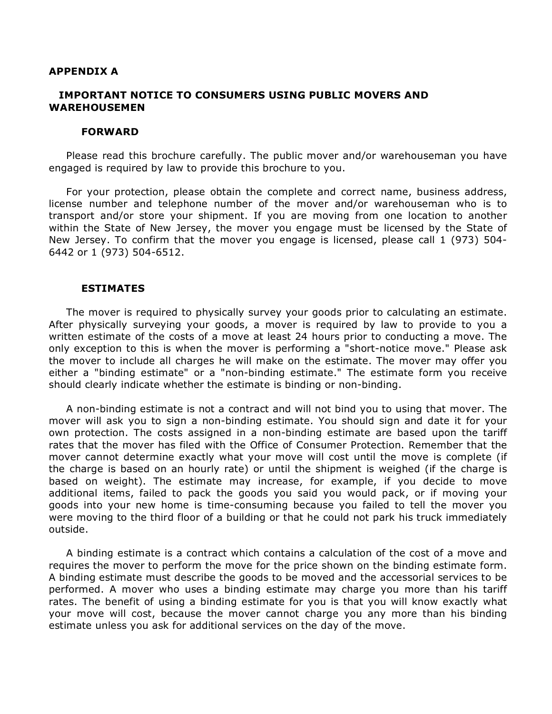### **APPENDIX A**

# **IMPORTANT NOTICE TO CONSUMERS USING PUBLIC MOVERS AND WAREHOUSEMEN**

#### **FORWARD**

Please read this brochure carefully. The public mover and/or warehouseman you have engaged is required by law to provide this brochure to you.

For your protection, please obtain the complete and correct name, business address, license number and telephone number of the mover and/or warehouseman who is to transport and/or store your shipment. If you are moving from one location to another within the State of New Jersey, the mover you engage must be licensed by the State of New Jersey. To confirm that the mover you engage is licensed, please call 1 (973) 504- 6442 or 1 (973) 504-6512.

### **ESTIMATES**

The mover is required to physically survey your goods prior to calculating an estimate. After physically surveying your goods, a mover is required by law to provide to you a written estimate of the costs of a move at least 24 hours prior to conducting a move. The only exception to this is when the mover is performing a "short-notice move." Please ask the mover to include all charges he will make on the estimate. The mover may offer you either a "binding estimate" or a "non-binding estimate." The estimate form you receive should clearly indicate whether the estimate is binding or non-binding.

A non-binding estimate is not a contract and will not bind you to using that mover. The mover will ask you to sign a non-binding estimate. You should sign and date it for your own protection. The costs assigned in a non-binding estimate are based upon the tariff rates that the mover has filed with the Office of Consumer Protection. Remember that the mover cannot determine exactly what your move will cost until the move is complete (if the charge is based on an hourly rate) or until the shipment is weighed (if the charge is based on weight). The estimate may increase, for example, if you decide to move additional items, failed to pack the goods you said you would pack, or if moving your goods into your new home is time-consuming because you failed to tell the mover you were moving to the third floor of a building or that he could not park his truck immediately outside.

A binding estimate is a contract which contains a calculation of the cost of a move and requires the mover to perform the move for the price shown on the binding estimate form. A binding estimate must describe the goods to be moved and the accessorial services to be performed. A mover who uses a binding estimate may charge you more than his tariff rates. The benefit of using a binding estimate for you is that you will know exactly what your move will cost, because the mover cannot charge you any more than his binding estimate unless you ask for additional services on the day of the move.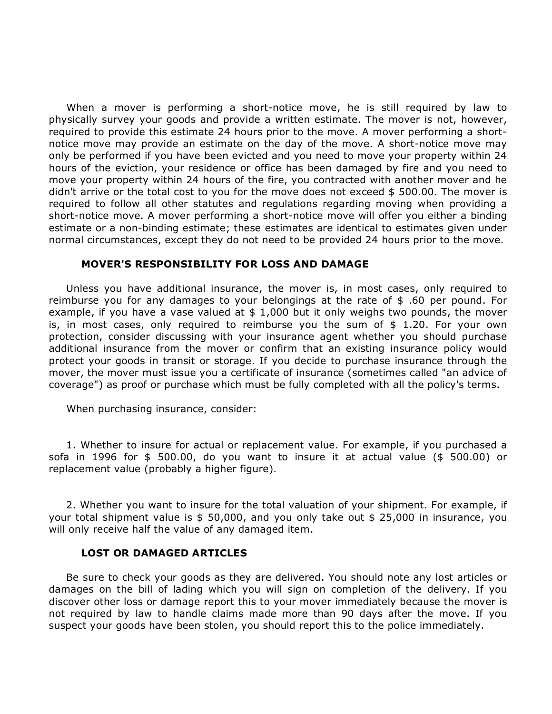When a mover is performing a short-notice move, he is still required by law to physically survey your goods and provide a written estimate. The mover is not, however, required to provide this estimate 24 hours prior to the move. A mover performing a shortnotice move may provide an estimate on the day of the move. A short-notice move may only be performed if you have been evicted and you need to move your property within 24 hours of the eviction, your residence or office has been damaged by fire and you need to move your property within 24 hours of the fire, you contracted with another mover and he didn't arrive or the total cost to you for the move does not exceed \$ 500.00. The mover is required to follow all other statutes and regulations regarding moving when providing a short-notice move. A mover performing a short-notice move will offer you either a binding estimate or a non-binding estimate; these estimates are identical to estimates given under normal circumstances, except they do not need to be provided 24 hours prior to the move.

# **MOVER'S RESPONSIBILITY FOR LOSS AND DAMAGE**

Unless you have additional insurance, the mover is, in most cases, only required to reimburse you for any damages to your belongings at the rate of \$ .60 per pound. For example, if you have a vase valued at  $$1,000$  but it only weighs two pounds, the mover is, in most cases, only required to reimburse you the sum of  $$ 1.20$ . For your own protection, consider discussing with your insurance agent whether you should purchase additional insurance from the mover or confirm that an existing insurance policy would protect your goods in transit or storage. If you decide to purchase insurance through the mover, the mover must issue you a certificate of insurance (sometimes called "an advice of coverage") as proof or purchase which must be fully completed with all the policy's terms.

When purchasing insurance, consider:

1. Whether to insure for actual or replacement value. For example, if you purchased a sofa in 1996 for \$ 500.00, do you want to insure it at actual value (\$ 500.00) or replacement value (probably a higher figure).

2. Whether you want to insure for the total valuation of your shipment. For example, if your total shipment value is \$ 50,000, and you only take out \$ 25,000 in insurance, you will only receive half the value of any damaged item.

### **LOST OR DAMAGED ARTICLES**

Be sure to check your goods as they are delivered. You should note any lost articles or damages on the bill of lading which you will sign on completion of the delivery. If you discover other loss or damage report this to your mover immediately because the mover is not required by law to handle claims made more than 90 days after the move. If you suspect your goods have been stolen, you should report this to the police immediately.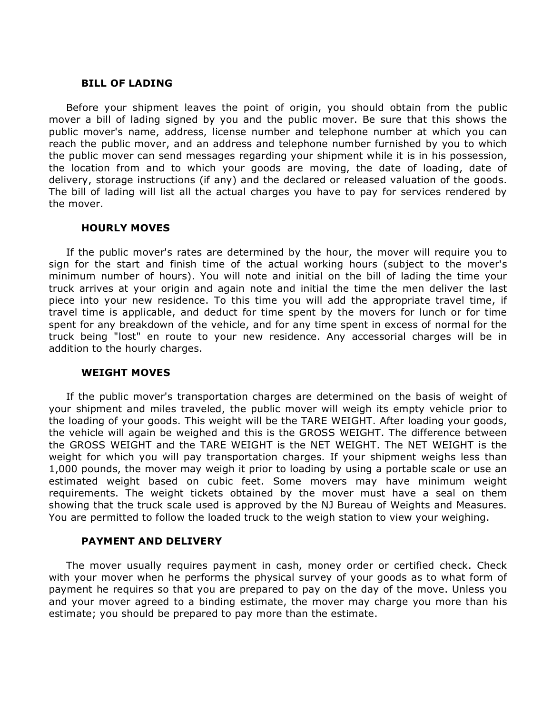## **BILL OF LADING**

Before your shipment leaves the point of origin, you should obtain from the public mover a bill of lading signed by you and the public mover. Be sure that this shows the public mover's name, address, license number and telephone number at which you can reach the public mover, and an address and telephone number furnished by you to which the public mover can send messages regarding your shipment while it is in his possession, the location from and to which your goods are moving, the date of loading, date of delivery, storage instructions (if any) and the declared or released valuation of the goods. The bill of lading will list all the actual charges you have to pay for services rendered by the mover.

## **HOURLY MOVES**

If the public mover's rates are determined by the hour, the mover will require you to sign for the start and finish time of the actual working hours (subject to the mover's minimum number of hours). You will note and initial on the bill of lading the time your truck arrives at your origin and again note and initial the time the men deliver the last piece into your new residence. To this time you will add the appropriate travel time, if travel time is applicable, and deduct for time spent by the movers for lunch or for time spent for any breakdown of the vehicle, and for any time spent in excess of normal for the truck being "lost" en route to your new residence. Any accessorial charges will be in addition to the hourly charges.

# **WEIGHT MOVES**

If the public mover's transportation charges are determined on the basis of weight of your shipment and miles traveled, the public mover will weigh its empty vehicle prior to the loading of your goods. This weight will be the TARE WEIGHT. After loading your goods, the vehicle will again be weighed and this is the GROSS WEIGHT. The difference between the GROSS WEIGHT and the TARE WEIGHT is the NET WEIGHT. The NET WEIGHT is the weight for which you will pay transportation charges. If your shipment weighs less than 1,000 pounds, the mover may weigh it prior to loading by using a portable scale or use an estimated weight based on cubic feet. Some movers may have minimum weight requirements. The weight tickets obtained by the mover must have a seal on them showing that the truck scale used is approved by the NJ Bureau of Weights and Measures. You are permitted to follow the loaded truck to the weigh station to view your weighing.

# **PAYMENT AND DELIVERY**

The mover usually requires payment in cash, money order or certified check. Check with your mover when he performs the physical survey of your goods as to what form of payment he requires so that you are prepared to pay on the day of the move. Unless you and your mover agreed to a binding estimate, the mover may charge you more than his estimate; you should be prepared to pay more than the estimate.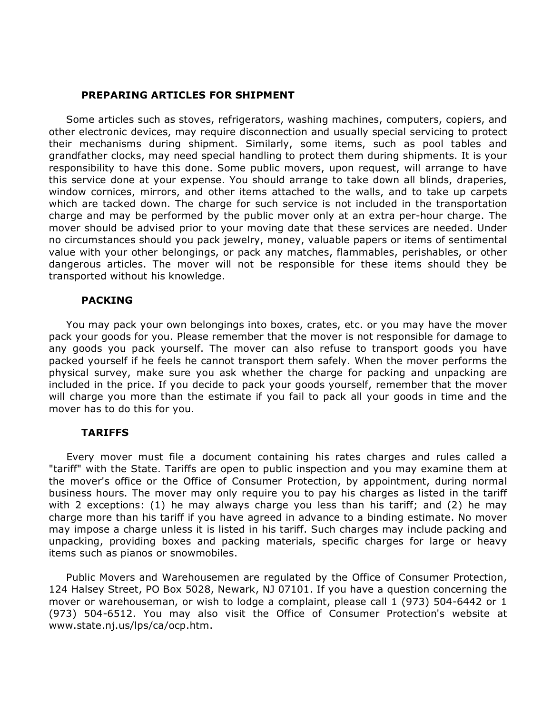# **PREPARING ARTICLES FOR SHIPMENT**

Some articles such as stoves, refrigerators, washing machines, computers, copiers, and other electronic devices, may require disconnection and usually special servicing to protect their mechanisms during shipment. Similarly, some items, such as pool tables and grandfather clocks, may need special handling to protect them during shipments. It is your responsibility to have this done. Some public movers, upon request, will arrange to have this service done at your expense. You should arrange to take down all blinds, draperies, window cornices, mirrors, and other items attached to the walls, and to take up carpets which are tacked down. The charge for such service is not included in the transportation charge and may be performed by the public mover only at an extra per-hour charge. The mover should be advised prior to your moving date that these services are needed. Under no circumstances should you pack jewelry, money, valuable papers or items of sentimental value with your other belongings, or pack any matches, flammables, perishables, or other dangerous articles. The mover will not be responsible for these items should they be transported without his knowledge.

# **PACKING**

You may pack your own belongings into boxes, crates, etc. or you may have the mover pack your goods for you. Please remember that the mover is not responsible for damage to any goods you pack yourself. The mover can also refuse to transport goods you have packed yourself if he feels he cannot transport them safely. When the mover performs the physical survey, make sure you ask whether the charge for packing and unpacking are included in the price. If you decide to pack your goods yourself, remember that the mover will charge you more than the estimate if you fail to pack all your goods in time and the mover has to do this for you.

# **TARIFFS**

Every mover must file a document containing his rates charges and rules called a "tariff" with the State. Tariffs are open to public inspection and you may examine them at the mover's office or the Office of Consumer Protection, by appointment, during normal business hours. The mover may only require you to pay his charges as listed in the tariff with 2 exceptions: (1) he may always charge you less than his tariff; and (2) he may charge more than his tariff if you have agreed in advance to a binding estimate. No mover may impose a charge unless it is listed in his tariff. Such charges may include packing and unpacking, providing boxes and packing materials, specific charges for large or heavy items such as pianos or snowmobiles.

Public Movers and Warehousemen are regulated by the Office of Consumer Protection, 124 Halsey Street, PO Box 5028, Newark, NJ 07101. If you have a question concerning the mover or warehouseman, or wish to lodge a complaint, please call 1 (973) 504-6442 or 1 (973) 504-6512. You may also visit the Office of Consumer Protection's website at www.state.nj.us/lps/ca/ocp.htm.